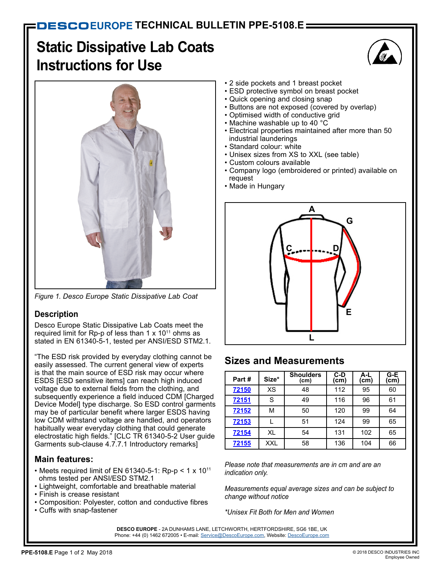# **Static Dissipative Lab Coats Instructions for Use**





*Figure 1. Desco Europe Static Dissipative Lab Coat*

### **Description**

Desco Europe Static Dissipative Lab Coats meet the required limit for Rp-p of less than 1  $\times$  10<sup>11</sup> ohms as stated in EN 61340-5-1, tested per ANSI/ESD STM2.1.

"The ESD risk provided by everyday clothing cannot be easily assessed. The current general view of experts is that the main source of ESD risk may occur where ESDS [ESD sensitive items] can reach high induced voltage due to external fields from the clothing, and subsequently experience a field induced CDM [Charged Device Model] type discharge. So ESD control garments may be of particular benefit where larger ESDS having low CDM withstand voltage are handled, and operators habitually wear everyday clothing that could generate electrostatic high fields." [CLC TR 61340-5-2 User guide Garments sub-clause 4.7.7.1 Introductory remarks]

### **Main features:**

- Meets required limit of EN 61340-5-1: Rp-p <  $1 \times 10^{11}$ ohms tested per ANSI/ESD STM2.1
- Lightweight, comfortable and breathable material
- Finish is crease resistant
- Composition: Polyester, cotton and conductive fibres
- Cuffs with snap-fastener
- 2 side pockets and 1 breast pocket
- ESD protective symbol on breast pocket
- Quick opening and closing snap
- Buttons are not exposed (covered by overlap)
- Optimised width of conductive grid
- Machine washable up to 40 °C
- Electrical properties maintained after more than 50 industrial launderings
- Standard colour: white
- Unisex sizes from XS to XXL (see table)
- Custom colours available
- Company logo (embroidered or printed) available on request
- Made in Hungary



## **Sizes and Measurements**

| Part# | Size*      | <b>Shoulders</b><br>(cm) | C-D<br>(cm) | A-L<br>(cm) | $G-E$<br>(cm) |
|-------|------------|--------------------------|-------------|-------------|---------------|
| 72150 | XS         | 48                       | 112         | 95          | 60            |
| 72151 | S          | 49                       | 116         | 96          | 61            |
| 72152 | м          | 50                       | 120         | 99          | 64            |
| 72153 |            | 51                       | 124         | 99          | 65            |
| 72154 | XL         | 54                       | 131         | 102         | 65            |
| 72155 | <b>XXL</b> | 58                       | 136         | 104         | 66            |

*Please note that measurements are in cm and are an indication only.*

*Measurements equal average sizes and can be subject to change without notice*

*\*Unisex Fit Both for Men and Women*

**DESCO EUROPE** - 2A DUNHAMS LANE, LETCHWORTH, HERTFORDSHIRE, SG6 1BE, UK Phone: +44 (0) 1462 672005 • E-mail: [Service@DescoEurope.com,](mailto:Service%40DescoEurope.com?subject=) Website: [DescoEurope.com](http://www.descoeurope.com/)